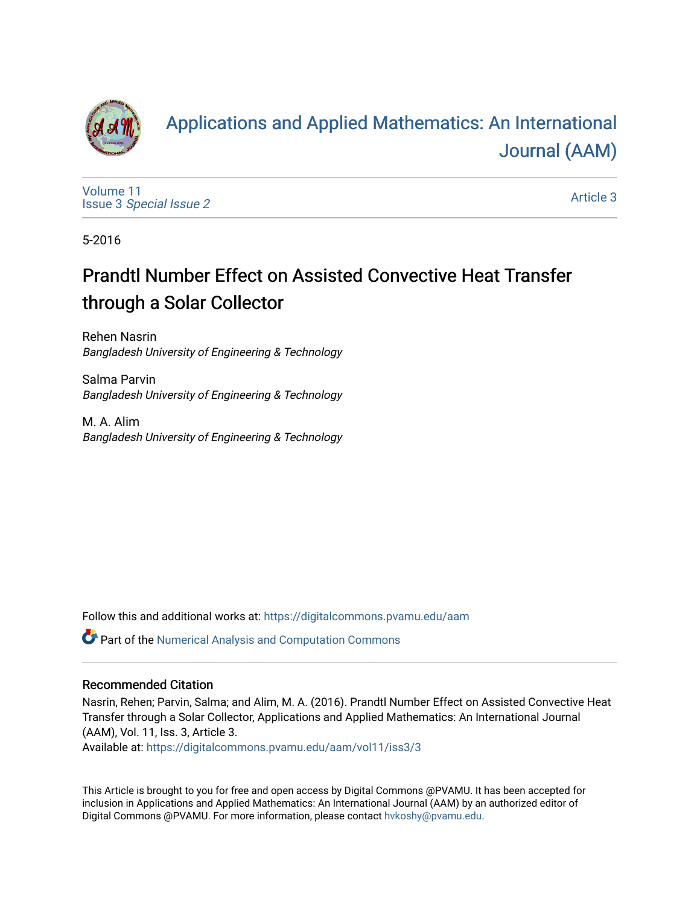

# [Applications and Applied Mathematics: An International](https://digitalcommons.pvamu.edu/aam)  [Journal \(AAM\)](https://digitalcommons.pvamu.edu/aam)

[Volume 11](https://digitalcommons.pvamu.edu/aam/vol11) Issue 3 [Special Issue 2](https://digitalcommons.pvamu.edu/aam/vol11/iss3)

[Article 3](https://digitalcommons.pvamu.edu/aam/vol11/iss3/3) 

5-2016

# Prandtl Number Effect on Assisted Convective Heat Transfer through a Solar Collector

Rehen Nasrin Bangladesh University of Engineering & Technology

Salma Parvin Bangladesh University of Engineering & Technology

M. A. Alim Bangladesh University of Engineering & Technology

Follow this and additional works at: [https://digitalcommons.pvamu.edu/aam](https://digitalcommons.pvamu.edu/aam?utm_source=digitalcommons.pvamu.edu%2Faam%2Fvol11%2Fiss3%2F3&utm_medium=PDF&utm_campaign=PDFCoverPages) 

Part of the [Numerical Analysis and Computation Commons](http://network.bepress.com/hgg/discipline/119?utm_source=digitalcommons.pvamu.edu%2Faam%2Fvol11%2Fiss3%2F3&utm_medium=PDF&utm_campaign=PDFCoverPages) 

#### Recommended Citation

Nasrin, Rehen; Parvin, Salma; and Alim, M. A. (2016). Prandtl Number Effect on Assisted Convective Heat Transfer through a Solar Collector, Applications and Applied Mathematics: An International Journal (AAM), Vol. 11, Iss. 3, Article 3.

Available at: [https://digitalcommons.pvamu.edu/aam/vol11/iss3/3](https://digitalcommons.pvamu.edu/aam/vol11/iss3/3?utm_source=digitalcommons.pvamu.edu%2Faam%2Fvol11%2Fiss3%2F3&utm_medium=PDF&utm_campaign=PDFCoverPages) 

This Article is brought to you for free and open access by Digital Commons @PVAMU. It has been accepted for inclusion in Applications and Applied Mathematics: An International Journal (AAM) by an authorized editor of Digital Commons @PVAMU. For more information, please contact [hvkoshy@pvamu.edu.](mailto:hvkoshy@pvamu.edu)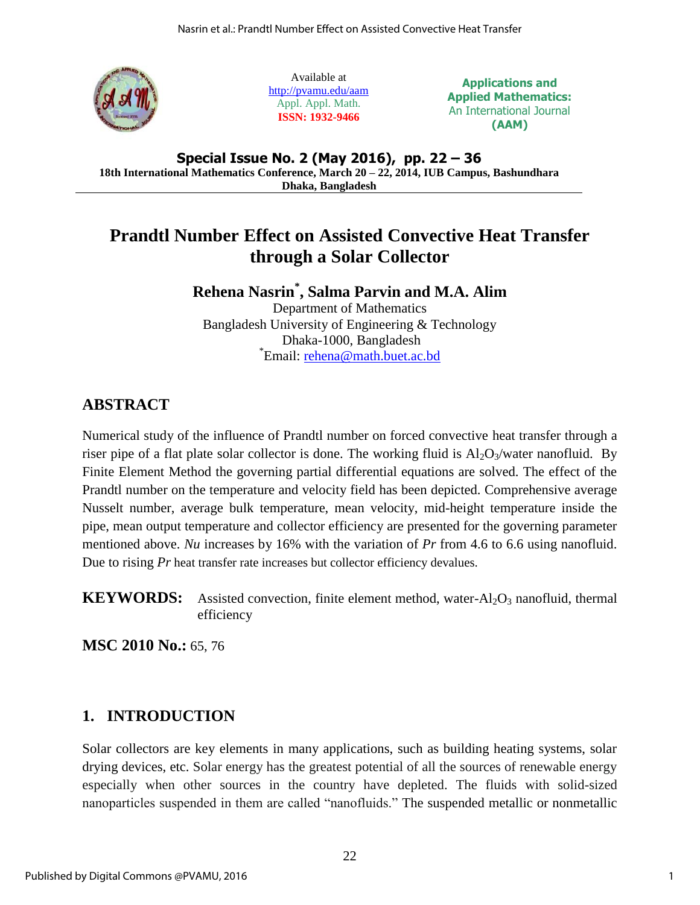

Available at <http://pvamu.edu/aam> Appl. Appl. Math. **ISSN: 1932-9466**

**Applications and Applied Mathematics:** An International Journal **(AAM)**

**Special Issue No. 2 (May 2016), pp. 22 – 36 18th International Mathematics Conference, March 20 – 22, 2014, IUB Campus, Bashundhara Dhaka, Bangladesh**

## **Prandtl Number Effect on Assisted Convective Heat Transfer through a Solar Collector**

## **Rehena Nasrin\* , Salma Parvin and M.A. Alim**

Department of Mathematics Bangladesh University of Engineering & Technology Dhaka-1000, Bangladesh \* Email: [rehena@math.buet.ac.bd](mailto:rehena@math.buet.ac.bd)

## **ABSTRACT**

Numerical study of the influence of Prandtl number on forced convective heat transfer through a riser pipe of a flat plate solar collector is done. The working fluid is  $Al_2O_3/water$  nanofluid. By Finite Element Method the governing partial differential equations are solved. The effect of the Prandtl number on the temperature and velocity field has been depicted. Comprehensive average Nusselt number, average bulk temperature, mean velocity, mid-height temperature inside the pipe, mean output temperature and collector efficiency are presented for the governing parameter mentioned above. *Nu* increases by 16% with the variation of *Pr* from 4.6 to 6.6 using nanofluid. Due to rising *Pr* heat transfer rate increases but collector efficiency devalues.

**KEYWORDS:** Assisted convection, finite element method, water-Al<sub>2</sub>O<sub>3</sub> nanofluid, thermal efficiency

**MSC 2010 No.:** 65, 76

## **1. INTRODUCTION**

Solar collectors are key elements in many applications, such as building heating systems, solar drying devices, etc. Solar energy has the greatest potential of all the sources of renewable energy especially when other sources in the country have depleted. The fluids with solid-sized nanoparticles suspended in them are called "nanofluids." The suspended metallic or nonmetallic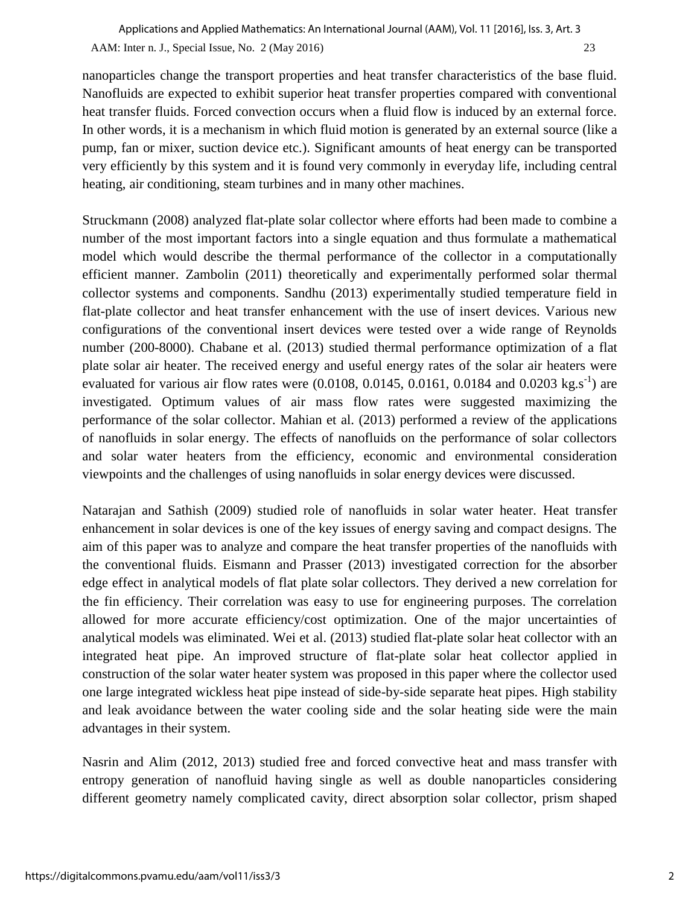nanoparticles change the transport properties and heat transfer characteristics of the base fluid. Nanofluids are expected to exhibit superior heat transfer properties compared with conventional heat transfer fluids. Forced convection occurs when a fluid flow is induced by an external force. In other words, it is a mechanism in which fluid motion is generated by an external source (like a pump, fan or mixer, suction device etc.). Significant amounts of heat energy can be transported very efficiently by this system and it is found very commonly in everyday life, including [central](http://en.wikipedia.org/wiki/Central_heating)  [heating,](http://en.wikipedia.org/wiki/Central_heating) [air conditioning,](http://en.wikipedia.org/wiki/Air_conditioning) [steam turbines](http://en.wikipedia.org/wiki/Steam_turbines) and in many other machines.

Struckmann (2008) analyzed flat-plate solar collector where efforts had been made to combine a number of the most important factors into a single equation and thus formulate a mathematical model which would describe the thermal performance of the collector in a computationally efficient manner. Zambolin (2011) theoretically and experimentally performed solar thermal collector systems and components. Sandhu (2013) experimentally studied temperature field in flat-plate collector and heat transfer enhancement with the use of insert devices. Various new configurations of the conventional insert devices were tested over a wide range of Reynolds number (200-8000). Chabane et al. (2013) studied thermal performance optimization of a flat plate solar air heater. The received energy and useful energy rates of the solar air heaters were evaluated for various air flow rates were  $(0.0108, 0.0145, 0.0161, 0.0184$  and  $0.0203$  kg.s<sup>-1</sup>) are investigated. Optimum values of air mass flow rates were suggested maximizing the performance of the solar collector. Mahian et al. (2013) performed a review of the applications of nanofluids in solar energy. The effects of nanofluids on the performance of solar collectors and solar water heaters from the efficiency, economic and environmental consideration viewpoints and the challenges of using nanofluids in solar energy devices were discussed.

Natarajan and Sathish (2009) studied role of nanofluids in solar water heater. Heat transfer enhancement in solar devices is one of the key issues of energy saving and compact designs. The aim of this paper was to analyze and compare the heat transfer properties of the nanofluids with the conventional fluids. [Eismann](http://www.sciencedirect.com/science/article/pii/S0038092X13002302) and [Prasser](http://www.sciencedirect.com/science/article/pii/S0038092X13002302) (2013) investigated correction for the absorber edge effect in analytical models of flat plate solar collectors. They derived a new correlation for the fin efficiency. Their correlation was easy to use for engineering purposes. The correlation allowed for more accurate efficiency/cost optimization. One of the major uncertainties of analytical models was eliminated. [Wei](http://www.sciencedirect.com/science/article/pii/S0038092X13002909) et al. (2013) studied flat-plate solar heat collector with an integrated heat pipe. An improved structure of flat-plate solar heat collector applied in construction of the solar water heater system was proposed in this paper where the collector used one large integrated wickless heat pipe instead of side-by-side separate heat pipes. High stability and leak avoidance between the water cooling side and the solar heating side were the main advantages in their system.

Nasrin and Alim (2012, 2013) studied free and forced convective heat and mass transfer with entropy generation of nanofluid having single as well as double nanoparticles considering different geometry namely complicated cavity, direct absorption solar collector, prism shaped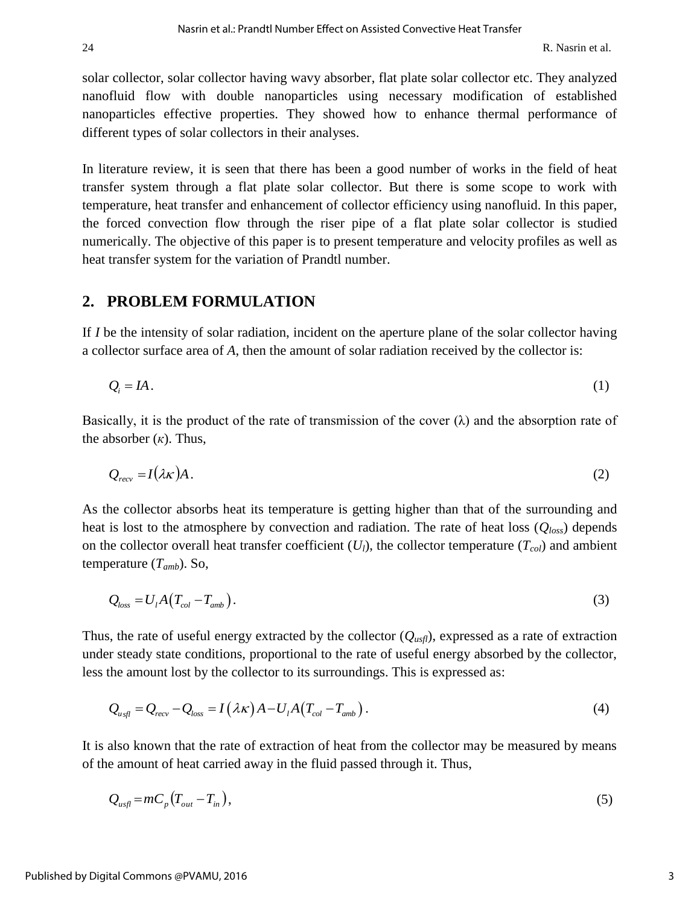solar collector, solar collector having wavy absorber, flat plate solar collector etc. They analyzed nanofluid flow with double nanoparticles using necessary modification of established nanoparticles effective properties. They showed how to enhance thermal performance of different types of solar collectors in their analyses.

In literature review, it is seen that there has been a good number of works in the field of heat transfer system through a flat plate solar collector. But there is some scope to work with temperature, heat transfer and enhancement of collector efficiency using nanofluid. In this paper, the forced convection flow through the riser pipe of a flat plate solar collector is studied numerically. The objective of this paper is to present temperature and velocity profiles as well as heat transfer system for the variation of Prandtl number.

#### **2. PROBLEM FORMULATION**

If *I* be the intensity of solar radiation, incident on the aperture plane of the solar collector having a collector surface area of *A*, then the amount of solar radiation received by the collector is:

$$
Q_i = IA. \tag{1}
$$

Basically, it is the product of the rate of transmission of the cover  $(\lambda)$  and the absorption rate of the absorber  $(\kappa)$ . Thus,

$$
Q_{\text{recv}} = I(\lambda \kappa) A. \tag{2}
$$

As the collector absorbs heat its temperature is getting higher than that of the surrounding and heat is lost to the atmosphere by convection and radiation. The rate of heat loss (*Qloss*) depends on the collector overall heat transfer coefficient (*Ul*), the collector temperature (*Tcol*) and ambient temperature (*Tamb*). So,

$$
Q_{loss} = U_l A (T_{col} - T_{amb}). \qquad (3)
$$

Thus, the rate of useful energy extracted by the collector  $(Q_{\mu s f})$ , expressed as a rate of extraction under steady state conditions, proportional to the rate of useful energy absorbed by the collector,

less the amount lost by the collector to its surroundings. This is expressed as:  
\n
$$
Q_{u\,\text{sf}} = Q_{\text{recv}} - Q_{\text{loss}} = I(\lambda \kappa)A - U_{\text{l}}A(T_{\text{col}} - T_{\text{amb}}).
$$
\n(4)

It is also known that the rate of extraction of heat from the collector may be measured by means of the amount of heat carried away in the fluid passed through it. Thus,

$$
Q_{usfl} = mC_p \left( T_{out} - T_{in} \right),\tag{5}
$$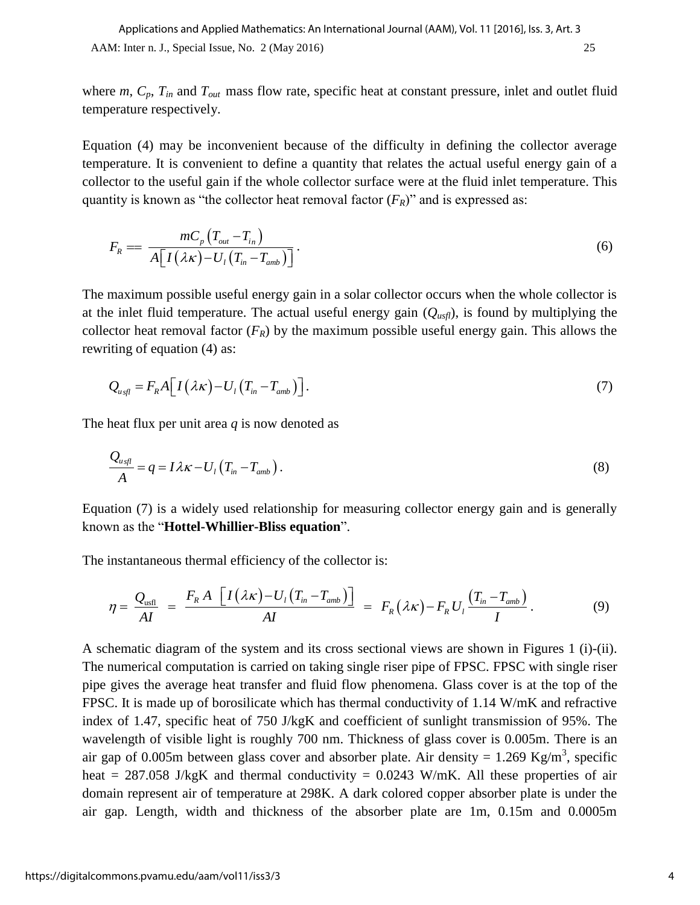where  $m$ ,  $C_p$ ,  $T_{in}$  and  $T_{out}$  mass flow rate, specific heat at constant pressure, inlet and outlet fluid temperature respectively.

Equation (4) may be inconvenient because of the difficulty in defining the collector average temperature. It is convenient to define a quantity that relates the actual useful energy gain of a collector to the useful gain if the whole collector surface were at the fluid inlet temperature. This quantity is known as "the collector heat removal factor  $(F_R)$ " and is expressed as:

$$
F_R = \frac{mC_p \left( T_{out} - T_{in} \right)}{A \left[ I \left( \lambda \kappa \right) - U_I \left( T_{in} - T_{amb} \right) \right]}.
$$
\n
$$
(6)
$$

The maximum possible useful energy gain in a solar collector occurs when the whole collector is at the inlet fluid temperature. The actual useful energy gain  $(Q_{\text{usfl}})$ , is found by multiplying the collector heat removal factor  $(F_R)$  by the maximum possible useful energy gain. This allows the rewriting of equation (4) as:

$$
Q_{u,\eta} = F_R A \Big[ I(\lambda \kappa) - U_l \big( T_{in} - T_{amb} \big) \Big]. \tag{7}
$$

The heat flux per unit area *q* is now denoted as

$$
\frac{Q_{u_{sfl}}}{A} = q = I\lambda\kappa - U_l \left( T_{in} - T_{amb} \right). \tag{8}
$$

Equation (7) is a widely used relationship for measuring collector energy gain and is generally known as the "**Hottel-Whillier-Bliss equation**".

The instantaneous thermal efficiency of the collector is:

$$
\eta = \frac{Q_{\text{usfl}}}{AI} = \frac{F_R A \left[ I(\lambda \kappa) - U_I (T_{in} - T_{amb}) \right]}{AI} = F_R (\lambda \kappa) - F_R U_I \frac{(T_{in} - T_{amb})}{I}. \tag{9}
$$

A schematic diagram of the system and its cross sectional views are shown in Figures 1 (i)-(ii). The numerical computation is carried on taking single riser pipe of FPSC. FPSC with single riser pipe gives the average heat transfer and fluid flow phenomena. Glass cover is at the top of the FPSC. It is made up of borosilicate which has thermal conductivity of 1.14 W/mK and refractive index of 1.47, specific heat of 750 J/kgK and coefficient of sunlight transmission of 95%. The wavelength of visible light is roughly 700 [nm.](http://en.wikipedia.org/wiki/Nanometre) Thickness of glass cover is 0.005m. There is an air gap of 0.005m between glass cover and absorber plate. Air density = 1.269 Kg/m<sup>3</sup>, specific heat = 287.058 J/kgK and thermal conductivity =  $0.0243$  W/mK. All these properties of air domain represent air of temperature at 298K. A dark colored copper absorber plate is under the air gap. Length, width and thickness of the absorber plate are 1m, 0.15m and 0.0005m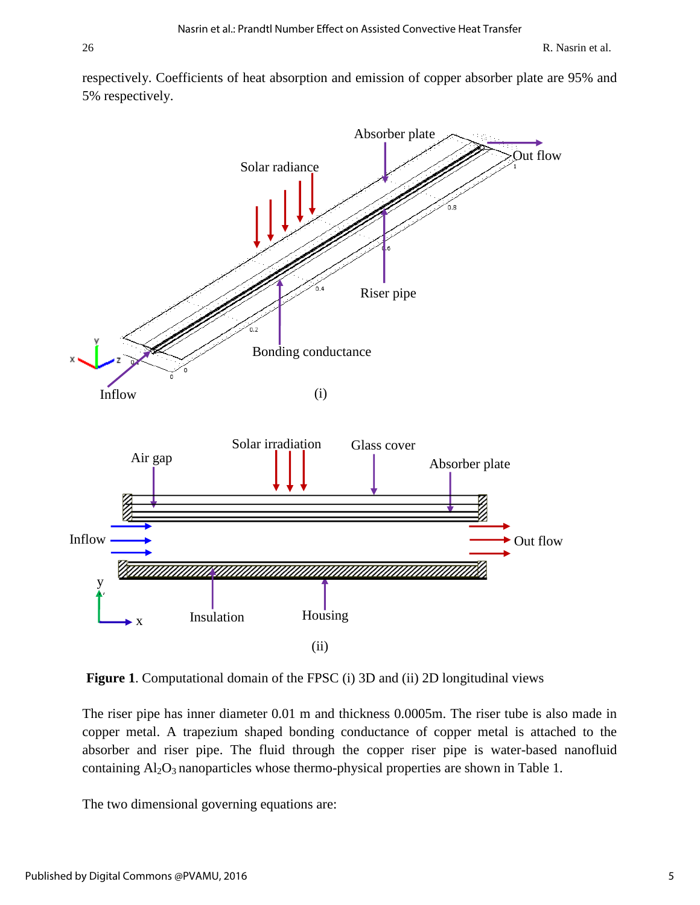respectively. Coefficients of heat absorption and emission of copper absorber plate are 95% and 5% respectively.



Figure 1. Computational domain of the FPSC (i) 3D and (ii) 2D longitudinal views

The riser pipe has inner diameter 0.01 m and thickness 0.0005m. The riser tube is also made in copper metal. A trapezium shaped bonding conductance of copper metal is attached to the // absorber and riser pipe. The fluid through the copper riser pipe is water-based nanofluid containing  $Al_2O_3$  nanoparticles whose thermo-physical properties are shown in Table 1.  $\mathsf{H}$ 

The two dimensional governing equations are: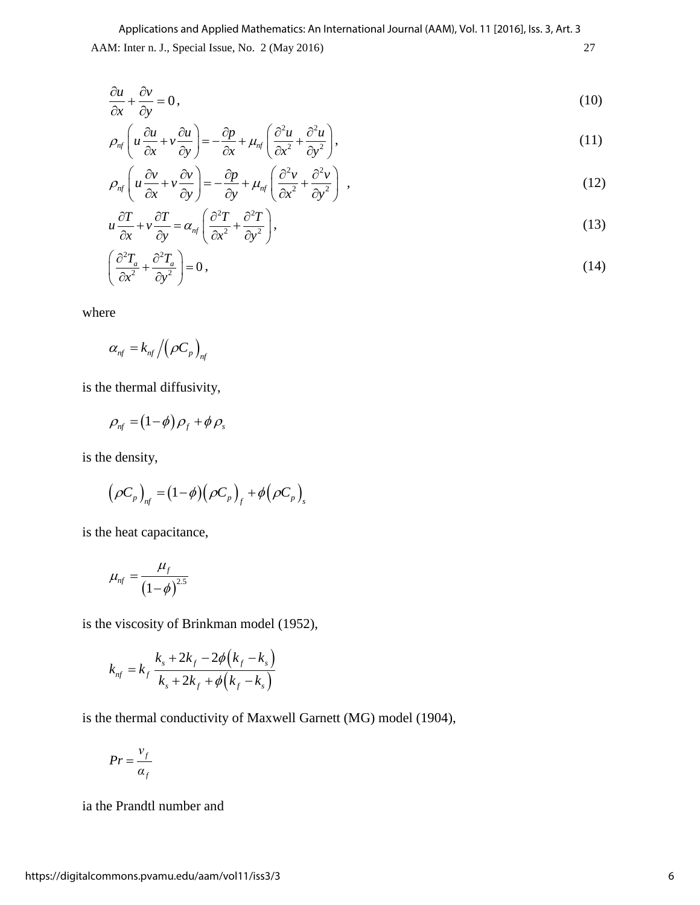AAM: Inter n. J., Special Issue, No. 2 (May 2016) 27 Applications and Applied Mathematics: An International Journal (AAM), Vol. 11 [2016], Iss. 3, Art. 3

$$
\frac{\partial u}{\partial x} + \frac{\partial v}{\partial y} = 0,\tag{10}
$$

$$
\frac{\partial x}{\partial y} \left( u \frac{\partial u}{\partial x} + v \frac{\partial u}{\partial y} \right) = -\frac{\partial p}{\partial x} + \mu_{nf} \left( \frac{\partial^2 u}{\partial x^2} + \frac{\partial^2 u}{\partial y^2} \right),\tag{11}
$$

$$
\rho_{n} \left( u \frac{\partial v}{\partial x} + v \frac{\partial v}{\partial y} \right) = -\frac{\partial p}{\partial y} + \mu_{n} \left( \frac{\partial^2 v}{\partial x^2} + \frac{\partial^2 v}{\partial y^2} \right) , \tag{12}
$$

$$
u\frac{\partial T}{\partial x} + v\frac{\partial T}{\partial y} = \alpha_{nf} \left( \frac{\partial^2 T}{\partial x^2} + \frac{\partial^2 T}{\partial y^2} \right),
$$
\n(13)

$$
\left(\frac{\partial^2 T_a}{\partial x^2} + \frac{\partial^2 T_a}{\partial y^2}\right) = 0\,,\tag{14}
$$

where

$$
\alpha_{_{nf}}=k_{_{nf}}\left/\!\left(\rho C_{_{p}}\right)_{_{nf}}
$$

is the thermal diffusivity,

$$
\rho_{nf} = (1-\phi)\rho_f + \phi \rho_s
$$

is the density,

e density,  
\n
$$
(\rho C_p)_{nf} = (1-\phi)(\rho C_p)_{f} + \phi(\rho C_p)_{s}
$$

is the heat capacitance,

$$
\mu_{nf} = \frac{\mu_f}{\left(1-\phi\right)^{2.5}}
$$

is the viscosity of Brinkman model (1952),  
\n
$$
k_{nf} = k_f \frac{k_s + 2k_f - 2\phi(k_f - k_s)}{k_s + 2k_f + \phi(k_f - k_s)}
$$

is the thermal conductivity of Maxwell Garnett (MG) model (1904),

$$
Pr = \frac{v_f}{\alpha_f}
$$

ia the Prandtl number and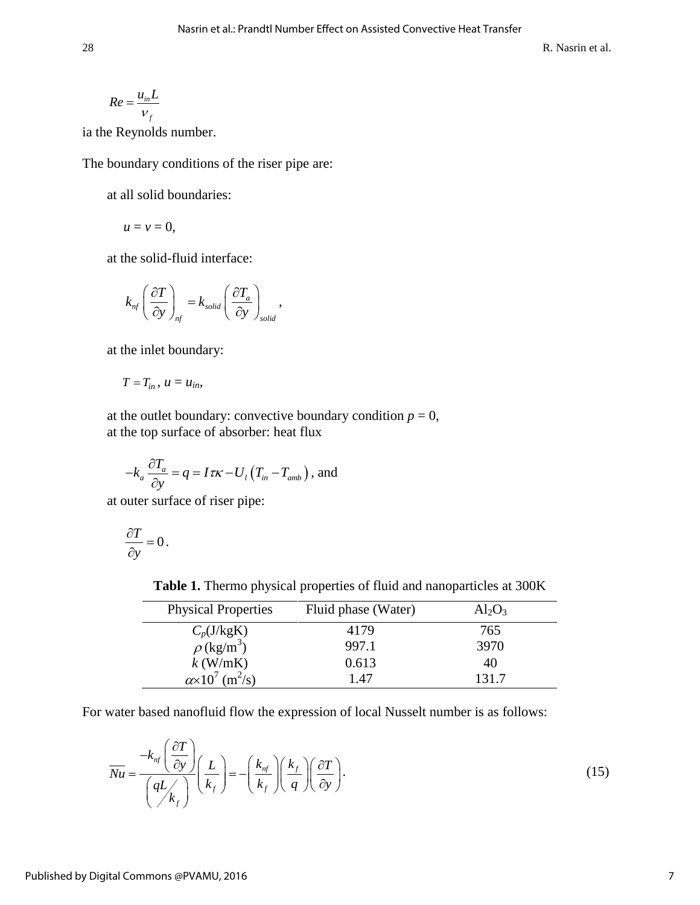$$
Re = \frac{u_{in}L}{v_f}
$$

ia the Reynolds number.

The boundary conditions of the riser pipe are:

at all solid boundaries:

$$
u=v=0,
$$

at the solid-fluid interface:

$$
k_{nf} \left(\frac{\partial T}{\partial y}\right)_{nf} = k_{solid} \left(\frac{\partial T_a}{\partial y}\right)_{solid},
$$

at the inlet boundary:

$$
T=T_{in}, u=u_{in},
$$

at the outlet boundary: convective boundary condition  $p = 0$ , at the top surface of absorber: heat flux

$$
-k_a \frac{\partial T_a}{\partial y} = q = I \tau \kappa - U_1 (T_{in} - T_{amb}), \text{ and}
$$

at outer surface of riser pipe:

$$
\frac{\partial T}{\partial y} = 0.
$$

**Table 1.** Thermo physical properties of fluid and nanoparticles at 300K

| <b>Physical Properties</b>               | Fluid phase (Water) | $Al_2O_3$ |
|------------------------------------------|---------------------|-----------|
| $C_p(J/kgK)$                             | 4179                | 765       |
| $\rho$ (kg/m <sup>3</sup> )              | 997.1               | 3970      |
| $k$ (W/mK)                               | 0.613               | 40        |
| $\alpha \times 10^7$ (m <sup>2</sup> /s) | 1.47                | 131.7     |

For water based nanofluid flow the expression of local Nusselt number is as follows:

$$
\overline{Nu} = \frac{-k_{\eta f} \left(\frac{\partial T}{\partial y}\right)}{\left(qL\right)_{k_f}} \left(\frac{L}{k_f}\right) = -\left(\frac{k_{\eta f}}{k_f}\right) \left(\frac{k_f}{q}\right) \left(\frac{\partial T}{\partial y}\right).
$$
\n(15)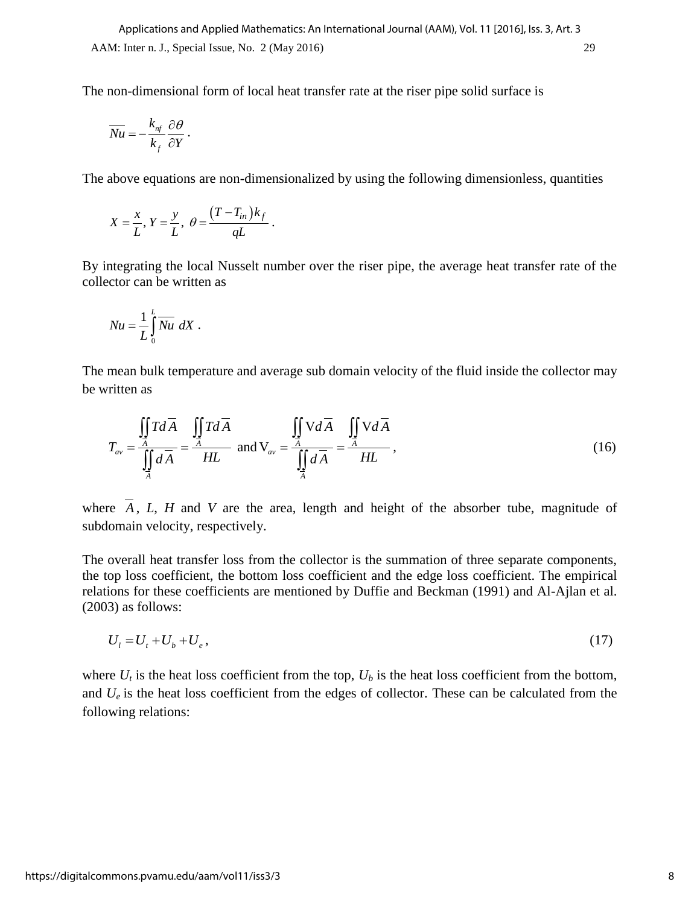The non-dimensional form of local heat transfer rate at the riser pipe solid surface is

$$
\overline{Nu} = -\frac{k_{\eta f}}{k_f} \frac{\partial \theta}{\partial Y}.
$$

The above equations are non-dimensionalized by using the following dimensionless, quantities

$$
X = \frac{x}{L}, Y = \frac{y}{L}, \ \theta = \frac{(T - T_{in})k_f}{qL}.
$$

By integrating the local Nusselt number over the riser pipe, the average heat transfer rate of the collector can be written as

$$
Nu = \frac{1}{L} \int_{0}^{L} \overline{Nu} \ dX \ .
$$

The mean bulk temperature and average sub domain velocity of the fluid inside the collector may be written as

$$
T_{av} = \frac{\iint\limits_{A} T d\overline{A}}{\iint\limits_{A} d\overline{A}} = \frac{\iint\limits_{A} T d\overline{A}}{HL} \text{ and } V_{av} = \frac{\iint\limits_{A} V d\overline{A}}{\iint\limits_{A} d\overline{A}} = \frac{\iint\limits_{A} V d\overline{A}}{HL},
$$
\n(16)

where *A* , *L*, *H* and *V* are the area, length and height of the absorber tube, magnitude of subdomain velocity, respectively.

The overall heat transfer loss from the collector is the summation of three separate components, the top loss coefficient, the bottom loss coefficient and the edge loss coefficient. The empirical relations for these coefficients are mentioned by Duffie and Beckman (1991) and Al-Ajlan et al. (2003) as follows:

$$
U_t = U_t + U_b + U_e, \tag{17}
$$

where  $U_t$  is the heat loss coefficient from the top,  $U_b$  is the heat loss coefficient from the bottom, and  $U_e$  is the heat loss coefficient from the edges of collector. These can be calculated from the following relations: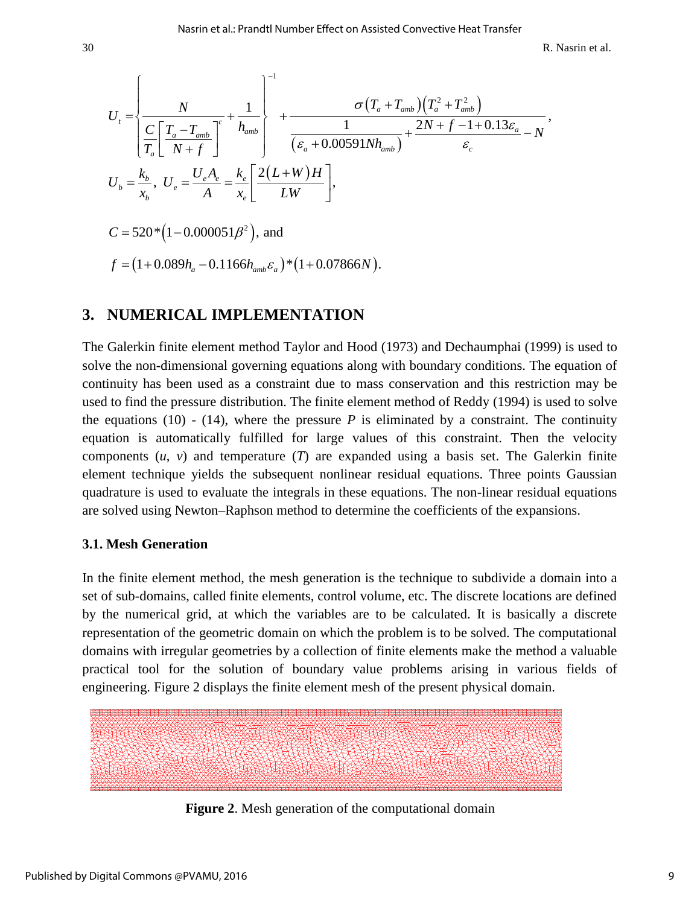Nasrin et al.: Prandtl Number Effect on Assisted Convective Heat Transfer  
\nR. Nasrin et  
\n
$$
U_{t} = \begin{cases}\n\frac{N}{C\left[\frac{T_{a} - T_{amb}}{N + f}\right]} + \frac{1}{h_{amb}} \\
\frac{C}{T_{a}}\left[\frac{T_{a} - T_{amb}}{N + f}\right] + \frac{1}{( \varepsilon_{a} + 0.00591Nh_{amb})} + \frac{2N + f - 1 + 0.13\varepsilon_{a}}{\varepsilon_{c}} - N\n\end{cases},
$$
\n
$$
U_{b} = \frac{k_{b}}{x_{b}}, \ U_{e} = \frac{U_{e}A_{e}}{A} = \frac{k_{e}}{x_{e}}\left[\frac{2(L+W)H}{LW}\right],
$$
\n
$$
C = 520*(1 - 0.000051\beta^{2}), \text{ and}
$$
\n
$$
f = (1 + 0.089h_{a} - 0.1166h_{amb}\varepsilon_{a})*(1 + 0.07866N).
$$

#### **3. NUMERICAL IMPLEMENTATION**

The Galerkin finite element method Taylor and Hood (1973) and Dechaumphai (1999) is used to solve the non-dimensional governing equations along with boundary conditions. The equation of continuity has been used as a constraint due to mass conservation and this restriction may be used to find the pressure distribution. The finite element method of Reddy (1994) is used to solve the equations  $(10)$  -  $(14)$ , where the pressure *P* is eliminated by a constraint. The continuity equation is automatically fulfilled for large values of this constraint. Then the velocity components (*u*, *v*) and temperature (*T*) are expanded using a basis set. The Galerkin finite element technique yields the subsequent nonlinear residual equations. Three points Gaussian quadrature is used to evaluate the integrals in these equations. The non-linear residual equations are solved using Newton–Raphson method to determine the coefficients of the expansions.

#### **3.1. Mesh Generation**

In the finite element method, the mesh generation is the technique to subdivide a domain into a set of sub-domains, called finite elements, control volume, etc. The discrete locations are defined by the numerical grid, at which the variables are to be calculated. It is basically a discrete representation of the geometric domain on which the problem is to be solved. The computational domains with irregular geometries by a collection of finite elements make the method a valuable practical tool for the solution of boundary value problems arising in various fields of engineering. Figure 2 displays the finite element mesh of the present physical domain.



**Figure 2**. Mesh generation of the computational domain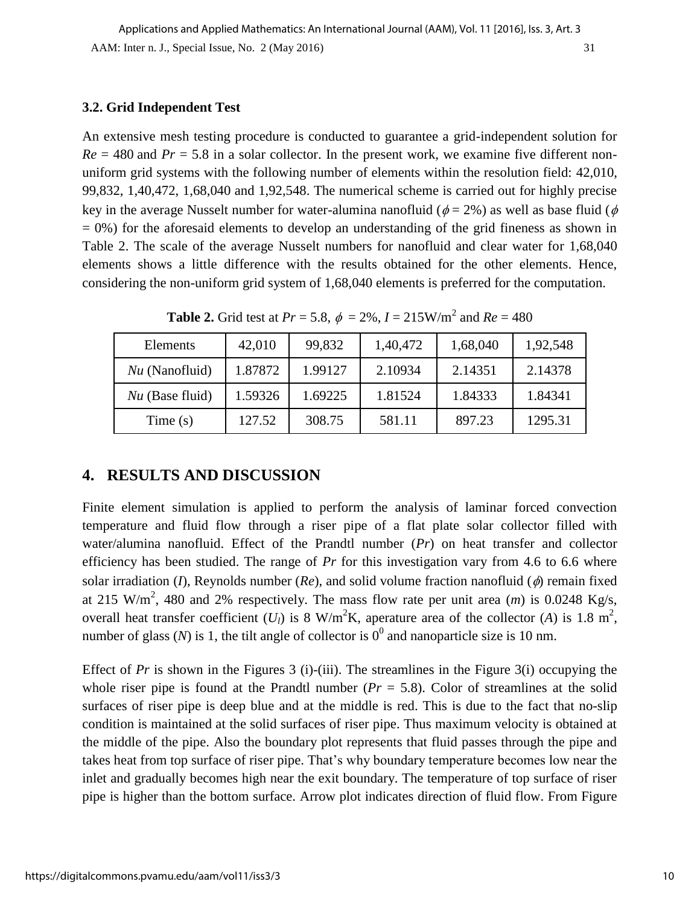#### **3.2. Grid Independent Test**

An extensive mesh testing procedure is conducted to guarantee a grid-independent solution for  $Re = 480$  and  $Pr = 5.8$  in a solar collector. In the present work, we examine five different nonuniform grid systems with the following number of elements within the resolution field: 42,010, 99,832, 1,40,472, 1,68,040 and 1,92,548. The numerical scheme is carried out for highly precise key in the average Nusselt number for water-alumina nanofluid ( $\phi = 2\%$ ) as well as base fluid ( $\phi$  $= 0\%$ ) for the aforesaid elements to develop an understanding of the grid fineness as shown in Table 2. The scale of the average Nusselt numbers for nanofluid and clear water for 1,68,040 elements shows a little difference with the results obtained for the other elements. Hence, considering the non-uniform grid system of 1,68,040 elements is preferred for the computation.

| <b>Elements</b>   | 42,010  | 99,832  | 1,40,472 | 1,68,040 | 1,92,548 |
|-------------------|---------|---------|----------|----------|----------|
| $Nu$ (Nanofluid)  | 1.87872 | 1.99127 | 2.10934  | 2.14351  | 2.14378  |
| $Nu$ (Base fluid) | 1.59326 | 1.69225 | 1.81524  | 1.84333  | 1.84341  |
| Time $(s)$        | 127.52  | 308.75  | 581.11   | 897.23   | 1295.31  |

**Table 2.** Grid test at  $Pr = 5.8$ ,  $\phi = 2\%$ ,  $I = 215$ W/m<sup>2</sup> and  $Re = 480$ 

## **4. RESULTS AND DISCUSSION**

Finite element simulation is applied to perform the analysis of laminar forced convection temperature and fluid flow through a riser pipe of a flat plate solar collector filled with water/alumina nanofluid. Effect of the Prandtl number (*Pr*) on heat transfer and collector efficiency has been studied. The range of *Pr* for this investigation vary from 4.6 to 6.6 where solar irradiation (*I*), Reynolds number (*Re*), and solid volume fraction nanofluid ( $\phi$ ) remain fixed at 215 W/m<sup>2</sup>, 480 and 2% respectively. The mass flow rate per unit area  $(m)$  is 0.0248 Kg/s, overall heat transfer coefficient  $(U_l)$  is 8 W/m<sup>2</sup>K, aperature area of the collector (A) is 1.8 m<sup>2</sup>, number of glass (*N*) is 1, the tilt angle of collector is  $0^0$  and nanoparticle size is 10 nm.

Effect of *Pr* is shown in the Figures 3 (i)-(iii). The streamlines in the Figure 3(i) occupying the whole riser pipe is found at the Prandtl number  $(Pr = 5.8)$ . Color of streamlines at the solid surfaces of riser pipe is deep blue and at the middle is red. This is due to the fact that no-slip condition is maintained at the solid surfaces of riser pipe. Thus maximum velocity is obtained at the middle of the pipe. Also the boundary plot represents that fluid passes through the pipe and takes heat from top surface of riser pipe. That's why boundary temperature becomes low near the inlet and gradually becomes high near the exit boundary. The temperature of top surface of riser pipe is higher than the bottom surface. Arrow plot indicates direction of fluid flow. From Figure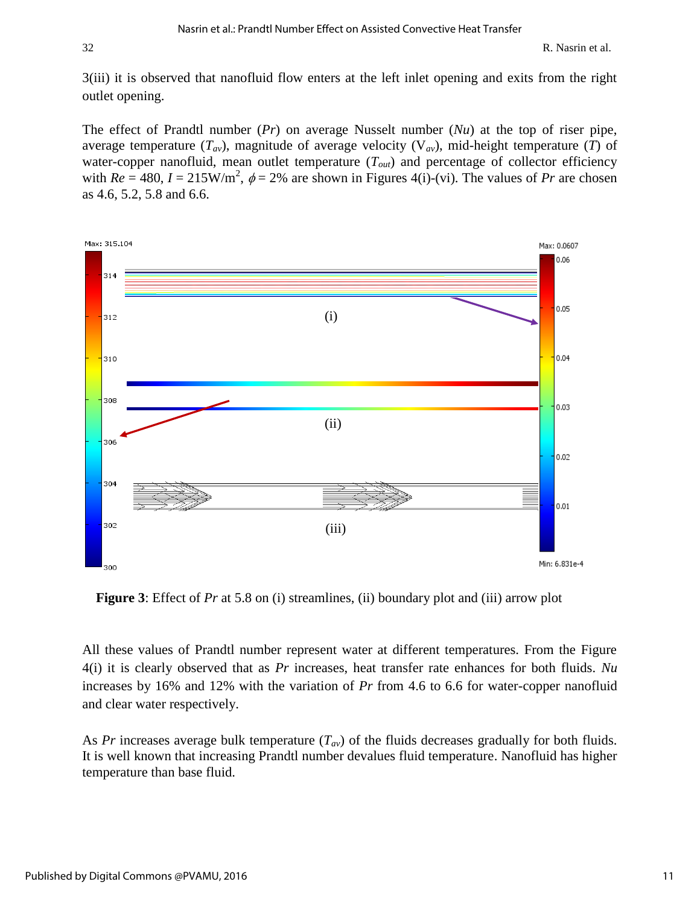3(iii) it is observed that nanofluid flow enters at the left inlet opening and exits from the right outlet opening.

The effect of Prandtl number (*Pr*) on average Nusselt number (*Nu*) at the top of riser pipe, average temperature  $(T_{av})$ , magnitude of average velocity  $(V_{av})$ , mid-height temperature  $(T)$  of water-copper nanofluid, mean outlet temperature ( $T<sub>out</sub>$ ) and percentage of collector efficiency with  $Re = 480$ ,  $I = 215$ W/m<sup>2</sup>,  $\phi = 2\%$  are shown in Figures 4(i)-(vi). The values of *Pr* are chosen as 4.6, 5.2, 5.8 and 6.6.



**Figure 3**: Effect of *Pr* at 5.8 on (i) streamlines, (ii) boundary plot and (iii) arrow plot

All these values of Prandtl number represent water at different temperatures. From the Figure 4(i) it is clearly observed that as *Pr* increases, heat transfer rate enhances for both fluids. *Nu* increases by 16% and 12% with the variation of *Pr* from 4.6 to 6.6 for water-copper nanofluid and clear water respectively.

As *Pr* increases average bulk temperature (*Tav*) of the fluids decreases gradually for both fluids. It is well known that increasing Prandtl number devalues fluid temperature. Nanofluid has higher temperature than base fluid.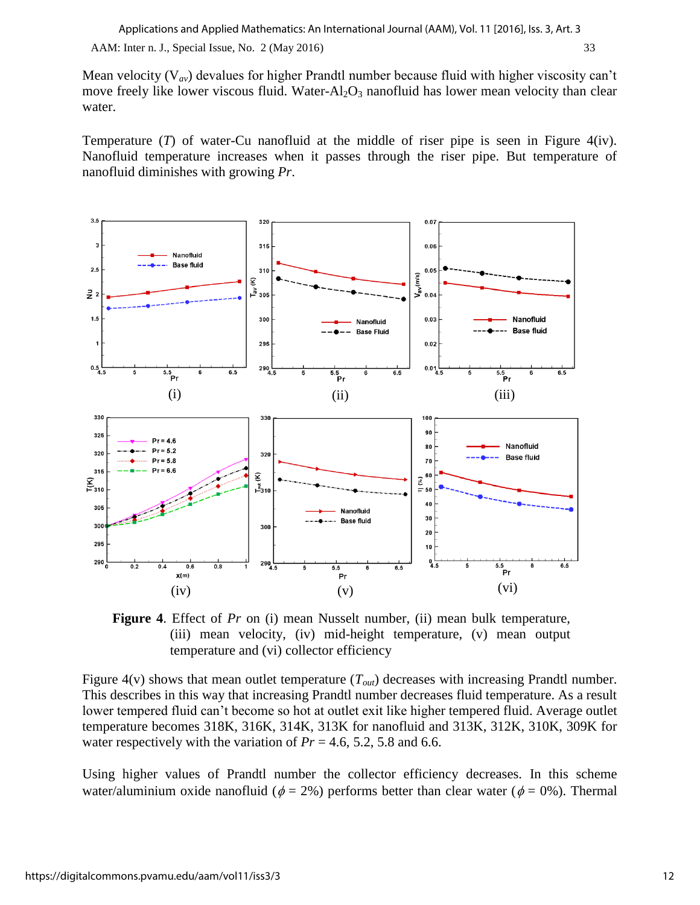AAM: Inter n. J., Special Issue, No. 2 (May 2016) 33

Mean velocity (V*av*) devalues for higher Prandtl number because fluid with higher viscosity can't move freely like lower viscous fluid. Water- $Al_2O_3$  nanofluid has lower mean velocity than clear water.

Temperature (*T*) of water-Cu nanofluid at the middle of riser pipe is seen in Figure 4(iv). Nanofluid temperature increases when it passes through the riser pipe. But temperature of nanofluid diminishes with growing *Pr*.



**Figure 4**. Effect of *Pr* on (i) mean Nusselt number, (ii) mean bulk temperature, (iii) mean velocity, (iv) mid-height temperature, (v) mean output temperature and (vi) collector efficiency

Figure 4(v) shows that mean outlet temperature (*Tout*) decreases with increasing Prandtl number. This describes in this way that increasing Prandtl number decreases fluid temperature. As a result lower tempered fluid can't become so hot at outlet exit like higher tempered fluid. Average outlet temperature becomes 318K, 316K, 314K, 313K for nanofluid and 313K, 312K, 310K, 309K for water respectively with the variation of  $Pr = 4.6, 5.2, 5.8$  and 6.6.

Using higher values of Prandtl number the collector efficiency decreases. In this scheme water/aluminium oxide nanofluid ( $\phi = 2\%$ ) performs better than clear water ( $\phi = 0\%$ ). Thermal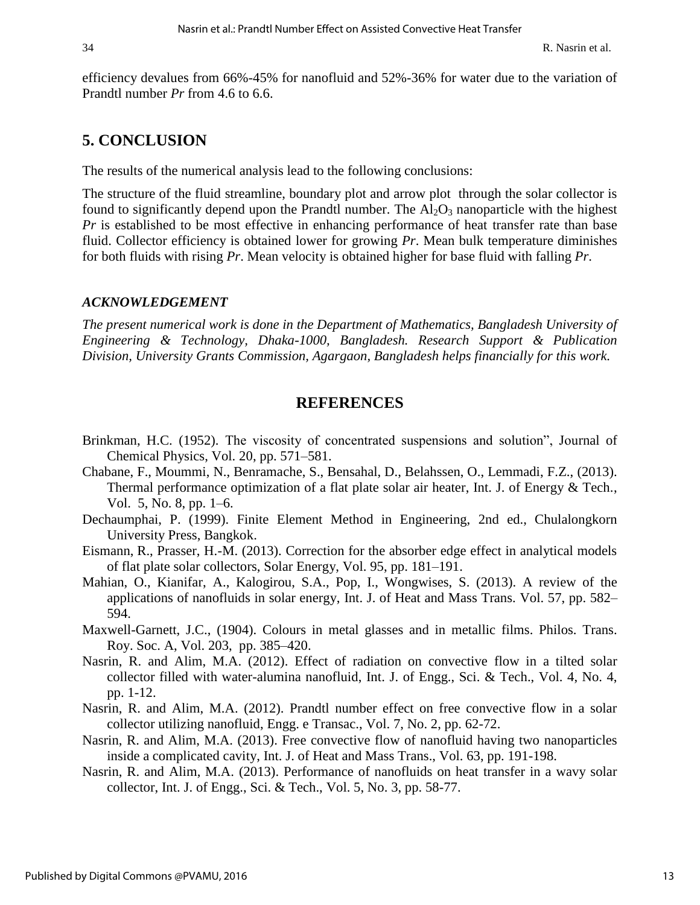efficiency devalues from 66%-45% for nanofluid and 52%-36% for water due to the variation of Prandtl number *Pr* from 4.6 to 6.6.

## **5. CONCLUSION**

The results of the numerical analysis lead to the following conclusions:

The structure of the fluid streamline, boundary plot and arrow plot through the solar collector is found to significantly depend upon the Prandtl number. The  $Al_2O_3$  nanoparticle with the highest *Pr* is established to be most effective in enhancing performance of heat transfer rate than base fluid. Collector efficiency is obtained lower for growing *Pr*. Mean bulk temperature diminishes for both fluids with rising *Pr*. Mean velocity is obtained higher for base fluid with falling *Pr*.

#### *ACKNOWLEDGEMENT*

*The present numerical work is done in the Department of Mathematics, Bangladesh University of Engineering & Technology, Dhaka-1000, Bangladesh. Research Support & Publication Division, University Grants Commission, Agargaon, Bangladesh helps financially for this work.* 

### **REFERENCES**

- Brinkman, H.C. (1952). The viscosity of concentrated suspensions and solution", Journal of Chemical Physics, Vol. 20, pp. 571–581.
- Chabane, F., Moummi, N., Benramache, S., Bensahal, D., Belahssen, O., Lemmadi, F.Z., (2013). Thermal performance optimization of a flat plate solar air heater, Int. J. of Energy & Tech., Vol. 5, No. 8, pp. 1–6.
- Dechaumphai, P. (1999). Finite Element Method in Engineering, 2nd ed., Chulalongkorn University Press, Bangkok.
- [Eismann,](http://www.sciencedirect.com/science/article/pii/S0038092X13002302) R., [Prasser,](http://www.sciencedirect.com/science/article/pii/S0038092X13002302) H.-M. (2013). Correction for the absorber edge effect in analytical models of flat plate solar collectors, [Solar Energy,](http://www.sciencedirect.com/science/journal/0038092X) Vol. [95,](http://www.sciencedirect.com/science/journal/0038092X/95/supp/C) pp. 181–191.
- Mahian, O., Kianifar, A., Kalogirou, S.A., Pop, I., Wongwises, S. (2013). A review of the applications of nanofluids in solar energy, Int. J. of Heat and Mass Trans. Vol. 57, pp. 582– 594.
- Maxwell-Garnett, J.C., (1904). Colours in metal glasses and in metallic films. Philos. Trans. Roy. Soc. A, Vol. 203, pp. 385–420.
- Nasrin, R. and Alim, M.A. (2012). Effect of radiation on convective flow in a tilted solar collector filled with water-alumina nanofluid, Int. J. of Engg., Sci. & Tech., Vol. 4, No. 4, pp. 1-12.
- Nasrin, R. and Alim, M.A. (2012). Prandtl number effect on free convective flow in a solar collector utilizing nanofluid, Engg. e Transac., Vol. 7, No. 2, pp. 62-72.
- Nasrin, R. and Alim, M.A. (2013). Free convective flow of nanofluid having two nanoparticles inside a complicated cavity, Int. J. of Heat and Mass Trans., Vol. 63, pp. 191-198.
- Nasrin, R. and Alim, M.A. (2013). Performance of nanofluids on heat transfer in a wavy solar collector, Int. J. of Engg., Sci. & Tech., Vol. 5, No. 3, pp. 58-77.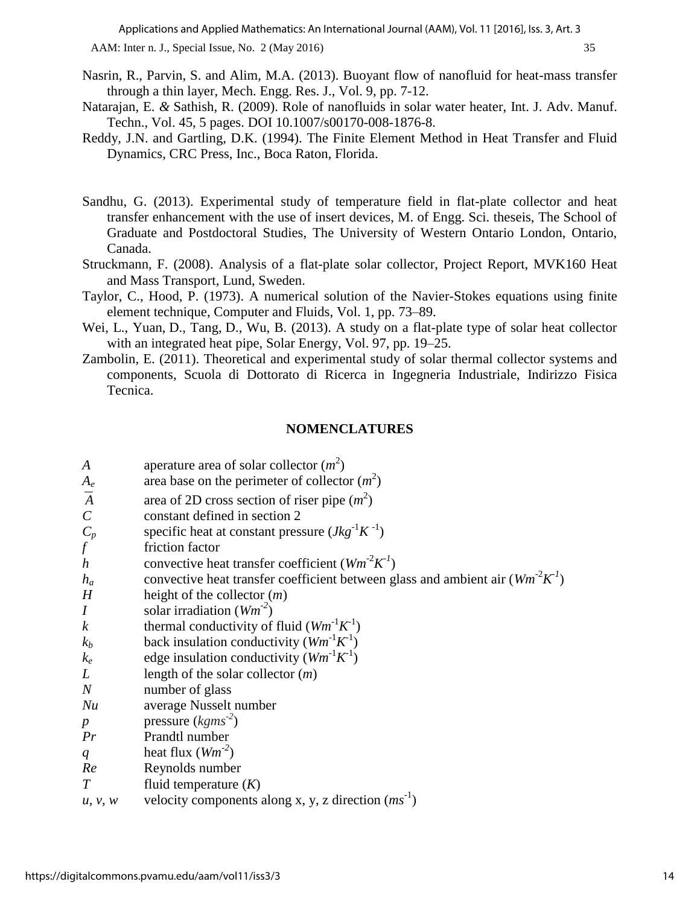AAM: Inter n. J., Special Issue, No. 2 (May 2016) 35

- Nasrin, R., Parvin, S. and Alim, M.A. (2013). Buoyant flow of nanofluid for heat-mass transfer through a thin layer, Mech. Engg. Res. J., Vol. 9, pp. 7-12.
- Natarajan, E. *&* Sathish, R. (2009). Role of nanofluids in solar water heater, Int. J. Adv. Manuf. Techn., Vol. 45, 5 pages. DOI 10.1007/s00170-008-1876-8.
- Reddy, J.N. and Gartling, D.K. (1994). The Finite Element Method in Heat Transfer and Fluid Dynamics, CRC Press, Inc., Boca Raton, Florida.
- Sandhu, G. (2013). Experimental study of temperature field in flat-plate collector and heat transfer enhancement with the use of insert devices, M. of Engg. Sci. theseis, The School of Graduate and Postdoctoral Studies, The University of Western Ontario London, Ontario, Canada.
- Struckmann, F. (2008). Analysis of a flat-plate solar collector, Project Report, MVK160 Heat and Mass Transport, Lund, Sweden.
- Taylor, C., Hood, P. (1973). A numerical solution of the Navier-Stokes equations using finite element technique, Computer and Fluids, Vol. 1, pp. 73–89.
- [Wei,](http://www.sciencedirect.com/science/article/pii/S0038092X13002909) L., [Yuan,](http://www.sciencedirect.com/science/article/pii/S0038092X13002909) D., [Tang,](http://www.sciencedirect.com/science/article/pii/S0038092X13002909) D., [Wu,](http://www.sciencedirect.com/science/article/pii/S0038092X13002909) B. (2013). A study on a flat-plate type of solar heat collector with an integrated heat pipe, [Solar Energy,](http://www.sciencedirect.com/science/journal/0038092X) Vol. [97,](http://www.sciencedirect.com/science/journal/0038092X/97/supp/C) pp. 19–25.
- Zambolin, E. (2011). Theoretical and experimental study of solar thermal collector systems and components, Scuola di Dottorato di Ricerca in Ingegneria Industriale, Indirizzo Fisica Tecnica.

#### **NOMENCLATURES**

| A                | aperature area of solar collector $(m^2)$                                      |
|------------------|--------------------------------------------------------------------------------|
| $A_e$            | area base on the perimeter of collector $(m^2)$                                |
| $\overline{A}$   | area of 2D cross section of riser pipe $(m^2)$                                 |
| $\mathcal{C}$    | constant defined in section 2                                                  |
| $\frac{C_p}{f}$  | specific heat at constant pressure $(Jkg^{-1}K^{-1})$                          |
|                  | friction factor                                                                |
| $\boldsymbol{h}$ | convective heat transfer coefficient $(Wm^2K^1)$                               |
| $h_a$            | convective heat transfer coefficient between glass and ambient air $(Wm^2K^1)$ |
| H                | height of the collector $(m)$                                                  |
| $\overline{I}$   | solar irradiation $(Wm^{-2})$                                                  |
| $\boldsymbol{k}$ | thermal conductivity of fluid $(Wm^{-1}K^{-1})$                                |
| $k_b$            | back insulation conductivity $(Wm^{-1}K^{-1})$                                 |
| $k_e$            | edge insulation conductivity $(Wm^{-1}K^{-1})$                                 |
| L                | length of the solar collector $(m)$                                            |
| $\boldsymbol{N}$ | number of glass                                                                |
| Nu               | average Nusselt number                                                         |
| $\boldsymbol{p}$ | pressure $(kgms-2)$                                                            |
| Pr               | Prandtl number                                                                 |
| q                | heat flux $(Wm^{-2})$                                                          |
| Re               | Reynolds number                                                                |
| $\tau$           | fluid temperature $(K)$                                                        |
| u, v, w          | velocity components along x, y, z direction $(ms^{-1})$                        |
|                  |                                                                                |